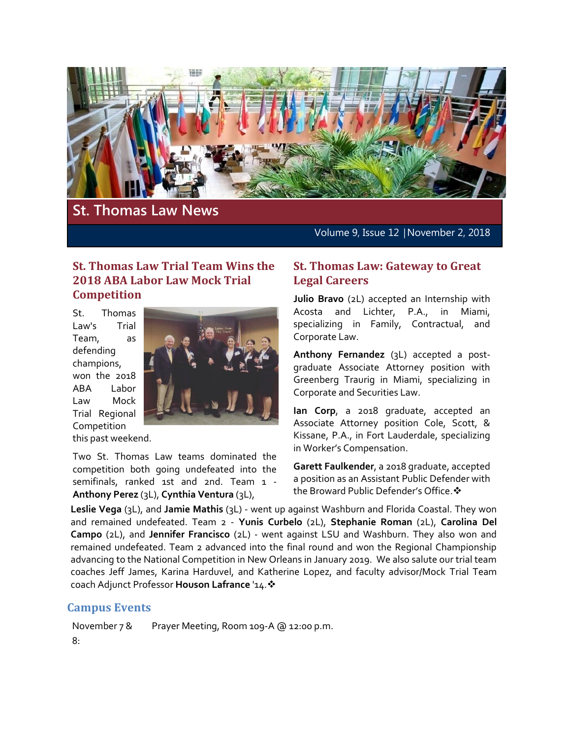

# **St. Thomas Law News**

Volume 9, Issue 12 | November 2, 2018

### **St. Thomas Law Trial Team Wins the 2018 ABA Labor Law Mock Trial Competition**

St. Thomas Law's Trial Team, as defending champions, won the 2018 ABA Labor Law Mock Trial Regional Competition



this past weekend.

Two St. Thomas Law teams dominated the competition both going undefeated into the semifinals, ranked 1st and 2nd. Team 1 - **Anthony Perez** (3L), **Cynthia Ventura** (3L),

#### **St. Thomas Law: Gateway to Great Legal Careers**

**Julio Bravo** (2L) accepted an Internship with Acosta and Lichter, P.A., in Miami, specializing in Family, Contractual, and Corporate Law.

**Anthony Fernandez** (3L) accepted a postgraduate Associate Attorney position with Greenberg Traurig in Miami, specializing in Corporate and Securities Law.

**Ian Corp**, a 2018 graduate, accepted an Associate Attorney position Cole, Scott, & Kissane, P.A., in Fort Lauderdale, specializing in Worker's Compensation.

**Garett Faulkender**, a 2018 graduate, accepted a position as an Assistant Public Defender with the Broward Public Defender's Office. ❖

**Leslie Vega** (3L), and **Jamie Mathis** (3L) - went up against Washburn and Florida Coastal. They won and remained undefeated. Team 2 - **Yunis Curbelo** (2L), **Stephanie Roman** (2L), **Carolina Del Campo** (2L), and **Jennifer Francisco** (2L) - went against LSU and Washburn. They also won and remained undefeated. Team 2 advanced into the final round and won the Regional Championship advancing to the National Competition in New Orleans in January 2019. We also salute our trial team coaches Jeff James, Karina Harduvel, and Katherine Lopez, and faculty advisor/Mock Trial Team coach Adjunct Professor **Houson Lafrance** '14.

# **Campus Events**

November 7 & 8: Prayer Meeting, Room 109-A @ 12:00 p.m.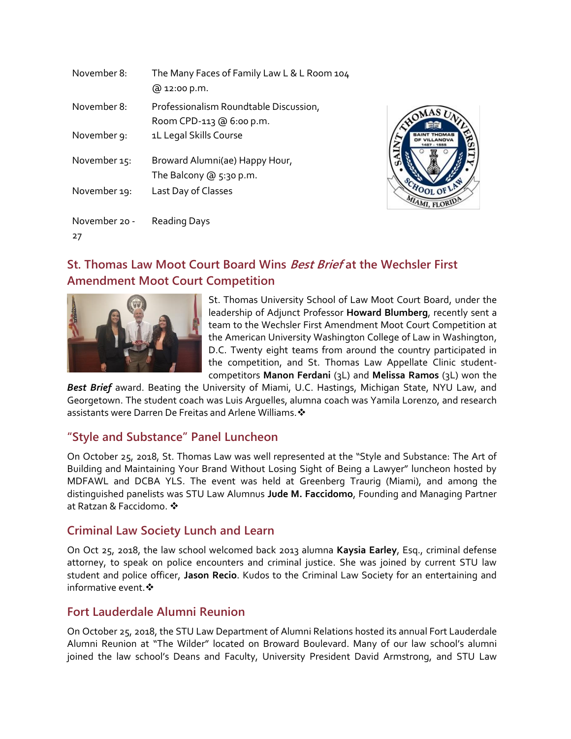| November 8:         | The Many Faces of Family Law L & L Room 104<br>@ 12:00 p.m.        |
|---------------------|--------------------------------------------------------------------|
| November 8:         | Professionalism Roundtable Discussion,<br>Room CPD-113 @ 6:00 p.m. |
| November 9:         | 1L Legal Skills Course                                             |
| November 15:        | Broward Alumni(ae) Happy Hour,<br>The Balcony $@5:30 p.m.$         |
| November 19:        | Last Day of Classes                                                |
| November 20 -<br>27 | <b>Reading Days</b>                                                |



# **St. Thomas Law Moot Court Board Wins Best Brief at the Wechsler First Amendment Moot Court Competition**



St. Thomas University School of Law Moot Court Board, under the leadership of Adjunct Professor **Howard Blumberg**, recently sent a team to the Wechsler First Amendment Moot Court Competition at the American University Washington College of Law in Washington, D.C. Twenty eight teams from around the country participated in the competition, and St. Thomas Law Appellate Clinic studentcompetitors **Manon Ferdani** (3L) and **Melissa Ramos** (3L) won the

*Best Brief* award. Beating the University of Miami, U.C. Hastings, Michigan State, NYU Law, and Georgetown. The student coach was Luis Arguelles, alumna coach was Yamila Lorenzo, and research assistants were Darren De Freitas and Arlene Williams.  $\clubsuit$ 

# **"Style and Substance" Panel Luncheon**

On October 25, 2018, St. Thomas Law was well represented at the "Style and Substance: The Art of Building and Maintaining Your Brand Without Losing Sight of Being a Lawyer" luncheon hosted by MDFAWL and DCBA YLS. The event was held at Greenberg Traurig (Miami), and among the distinguished panelists was STU Law Alumnus **Jude M. Faccidomo**, Founding and Managing Partner at Ratzan & Faccidomo

# **Criminal Law Society Lunch and Learn**

On Oct 25, 2018, the law school welcomed back 2013 alumna **Kaysia Earley**, Esq., criminal defense attorney, to speak on police encounters and criminal justice. She was joined by current STU law student and police officer, **Jason Recio**. Kudos to the Criminal Law Society for an entertaining and informative event. ❖

# **Fort Lauderdale Alumni Reunion**

On October 25, 2018, the STU Law Department of Alumni Relations hosted its annual Fort Lauderdale Alumni Reunion at "The Wilder" located on Broward Boulevard. Many of our law school's alumni joined the law school's Deans and Faculty, University President David Armstrong, and STU Law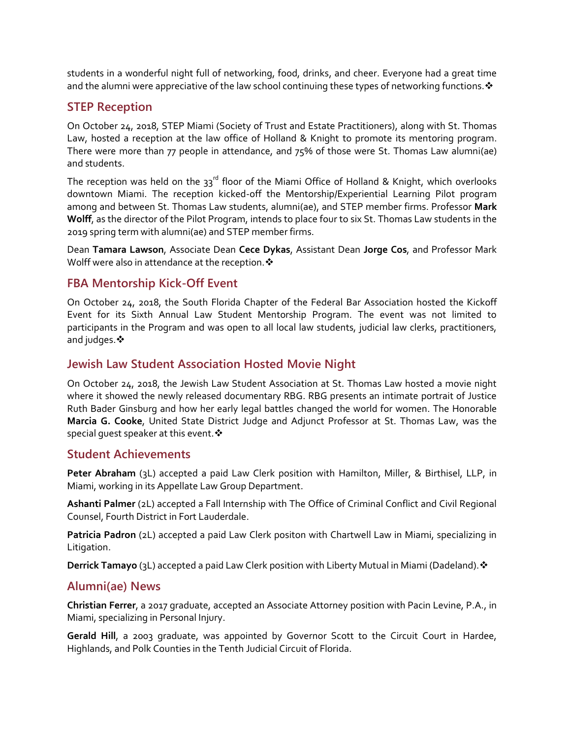students in a wonderful night full of networking, food, drinks, and cheer. Everyone had a great time and the alumni were appreciative of the law school continuing these types of networking functions.  $\clubsuit$ 

### **STEP Reception**

On October 24, 2018, STEP Miami (Society of Trust and Estate Practitioners), along with St. Thomas Law, hosted a reception at the law office of Holland & Knight to promote its mentoring program. There were more than 77 people in attendance, and 75% of those were St. Thomas Law alumni(ae) and students.

The reception was held on the  $33<sup>rd</sup>$  floor of the Miami Office of Holland & Knight, which overlooks downtown Miami. The reception kicked-off the Mentorship/Experiential Learning Pilot program among and between St. Thomas Law students, alumni(ae), and STEP member firms. Professor **Mark Wolff**, as the director of the Pilot Program, intends to place four to six St. Thomas Law students in the 2019 spring term with alumni(ae) and STEP member firms.

Dean **Tamara Lawson**, Associate Dean **Cece Dykas**, Assistant Dean **Jorge Cos**, and Professor Mark Wolff were also in attendance at the reception.  $\clubsuit$ 

#### **FBA Mentorship Kick-Off Event**

On October 24, 2018, the South Florida Chapter of the Federal Bar Association hosted the Kickoff Event for its Sixth Annual Law Student Mentorship Program. The event was not limited to participants in the Program and was open to all local law students, judicial law clerks, practitioners, and judges. ❖

#### **Jewish Law Student Association Hosted Movie Night**

On October 24, 2018, the Jewish Law Student Association at St. Thomas Law hosted a movie night where it showed the newly released documentary RBG. RBG presents an intimate portrait of Justice Ruth Bader Ginsburg and how her early legal battles changed the world for women. The Honorable **Marcia G. Cooke**, United State District Judge and Adjunct Professor at St. Thomas Law, was the special quest speaker at this event.  $\cdot$ 

#### **Student Achievements**

**Peter Abraham** (3L) accepted a paid Law Clerk position with Hamilton, Miller, & Birthisel, LLP, in Miami, working in its Appellate Law Group Department.

**Ashanti Palmer** (2L) accepted a Fall Internship with The Office of Criminal Conflict and Civil Regional Counsel, Fourth District in Fort Lauderdale.

**Patricia Padron** (2L) accepted a paid Law Clerk positon with Chartwell Law in Miami, specializing in Litigation.

**Derrick Tamayo** (3L) accepted a paid Law Clerk position with Liberty Mutual in Miami (Dadeland). ❖

#### **Alumni(ae) News**

**Christian Ferrer**, a 2017 graduate, accepted an Associate Attorney position with Pacin Levine, P.A., in Miami, specializing in Personal Injury.

**Gerald Hill**, a 2003 graduate, was appointed by Governor Scott to the Circuit Court in Hardee, Highlands, and Polk Counties in the Tenth Judicial Circuit of Florida.